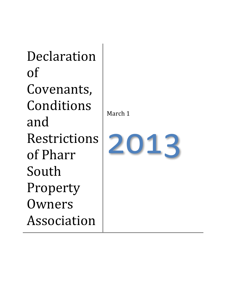Declaration of Covenants, Conditions and Restrictions of Pharr South Property Owners Association

March 1

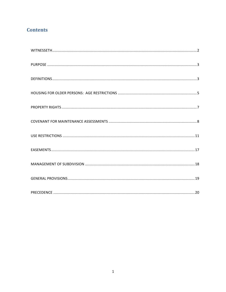# **Contents**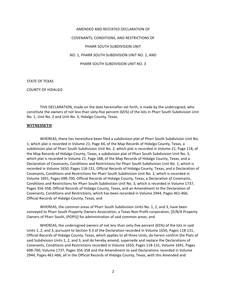# AMENDED AND RESTATED DECLARATION OF

#### COVENANTS, CONDITIONS, AND RESTRICTIONS OF

#### PHARR SOUTH SUBDIVISION UNIT

NO. 1, PHARR SOUTH SUBDIVISION UNIT NO. 2, AND

PHARR SOUTH SUBDIVISION UNIT NO. 3

STATE OF TEXAS

COUNTY OF HIDALGO

THIS DECLARATION, made on the date hereinafter set forth, is made by the undersigned, who constitute the owners of not less than sixty-five percent (65%) of the lots in Pharr South Subdivision Unit No. 1, Unit No. 2 and Unit No. 3, Hidalgo County, Texas.

#### **WITNESSETH**

WHEREAS, there has heretofore been filed a subdivision plat of Pharr South Subdivision Unit No. 1, which plat is recorded in Volume 21; Page 44, of the Map Records of Hidalgo County, Texas, a subdivision plat of Pharr South Subdivision Unit No. 2, which plat is recorded in Volume 21, Page 118, of the Map Records of Hidalgo County, Texas, a subdivision plat of Pharr South Subdivision Unit No. 3, which plat is recorded in Volume 21, Page 188, of the Map Records of Hidalgo County, Texas, and a Declaration of Covenants, Conditions and Restrictions for Pharr South Subdivision Unit *No. 1*, which is recorded in Volume 1650, Pages 118-131, Official Records of Hidalgo County, Texas, and a Declaration of Covenants, Conditions and Restrictions for Pharr South Subdivision Unit No. 2, which is recorded in Volume 1691, Pages 698-700, Official Records of Hidalgo County, Texas, a Declaration of Covenants, Conditions and Restrictions for Pharr South Subdivision Unit No. 3, which is recorded in Volume 1737, Pages 356-358, Official Records of Hidalgo County, Texas, and an Amendment to the Declaration of Covenants, Conditions and Restrictions, which has been recorded in Volume 2944, Pages 461-466, Official Records of Hidalgo County, Texas; and

WHEREAS, the common areas of Pharr South Subdivision Units No. 1, 2, and 3, have been conveyed to Pharr South Property Owners Association, a Texas Non-Profit corporation, [D/B/A Property Owners of Pharr South, (POPS)] for administration of said common areas; and

WHEREAS, the undersigned owners of not less than sixty-five percent (65%) of the lots in said Units 1, 2, and 3, pursuant to Section 9.3 of the Declaration recorded in Volume 1650, Pages 118-131, Official Records of Hidalgo County, Texas, which applies to all three Units, do herein confirm the Plats of said Subdivision Units 1, 2, and 3, and do hereby amend, supersede and replace the Declarations of Covenants, Conditions and Restrictions recorded in Volume 1650, Pages 118-131, Volume 1691, Pages 698-700, Volume 1737, Pages 356-358 and the Amendment to said Declarations recorded in Volume 2944, Pages 461-466, all in the Official Records of Hidalgo County, Texas, with this Amended and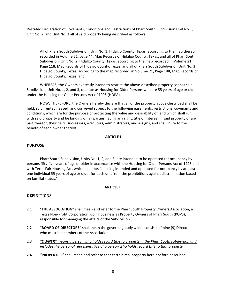Restated Declaration of Covenants, Conditions and Restrictions of Pharr South Subdivision Unit No 1, Unit No. 2, and Unit No. 3 all of said property being described as follows:

All of Pharr South Subdivision, Unit No. 1, Hidalgo County, Texas, according to the map thereof recorded in Volume 21, page 44, Map Records of Hidalgo County, Texas, and all of Pharr South Subdivision, Unit No. 2, Hidalgo County, Texas, according to the map recorded in Volume 21, Page 118, Map Records of Hidalgo County, Texas, and all of Pharr South Subdivision Unit No. 3, Hidalgo County, Texas, according to the map recorded in Volume 21, Page 188, Map Records of Hidalgo County, Texas; and

WHEREAS, the Owners expressly intend to restrict the above-described property so that said Subdivision, Unit No. 1, 2, and 3, operate as Housing for Older Persons who are 55 years of age or older under the Housing for Older Persons Act of 1995 (HOPA).

NOW, THEREFORE, the Owners hereby declare that all of the property above-described shall be held, sold, rented, leased, and conveyed subject to the following easements, restrictions, covenants and conditions, which are for the purpose of protecting the value and desirability of, and which shall run with said property and be binding on all parties having any right, title or interest in said property or any part thereof, their heirs, successors, executors, administrators, and assigns, and shall inure to the benefit of each owner thereof.

## **ARTICLE** I

#### **PURPOSE**

Pharr South Subdivision, Units No. 1, 2, and 3, are intended to be operated for occupancy by persons fifty-five years of age or older in accordance with the Housing for Older Persons Act of 1995 and with Texas Fair Housing Act, which exempts "housing intended and operated for occupancy by at least one individual 55 years of age or older for each unit from the prohibitions against discrimination based on familial status."

# **ARTICLE II**

# **DEFINITIONS**

- 2.1 **"THE ASSOCIATION**" shall mean and refer to the Pharr South Property Owners Association, a Texas Non-Profit Corporation, doing business as Property Owners of Pharr South (POPS), responsible for managing the affairs of the Subdivision.
- 2.2 "BOARD OF DIRECTORS" shall mean the governing body which consists of nine (9) Directors who must be members of the Association.
- 2.3 *"OWNER"* means a person who holds record title to property in the Pharr South subdivision and *includes the personal representative of a person who holds record title to that property.*
- 2.4 "PROPERTIES" shall mean and refer to that certain real property hereinbefore described.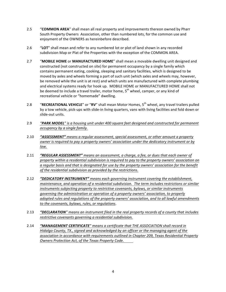- 2.5 "COMMON AREA" shall mean all real property and improvements thereon owned by Pharr South Property Owners Association, other than numbered lots, for the common use and enjoyment of the OWNERS as hereinbefore described.
- 2.6 "LOT" shall mean and refer to any numbered lot or plot of land shown in any recorded subdivision Map or Plat of the Properties with the exception of the COMMON AREA.
- 2.7 **"MOBILE HOME** or **MANUFACTURED HOME**" shall mean a movable dwelling unit designed and constructed (not constructed on site) for permanent occupancy by a single family which contains permanent eating, cooking, sleeping and sanitary facilities, which is designed to be moved by axles and wheels forming a part of such unit (which axles and wheels may, however, be removed while the unit is at rest) and which units are manufactured with complete plumbing and electrical systems ready for hook up. MOBILE HOME or MANUFACTURED HOME shall not be deemed to include a travel trailer, motor home, 5<sup>th</sup> wheel, camper, or any kind of recreational vehicle or "homemade" dwelling.
- 2.8 "RECREATIONAL VEHICLE" or "RV" shall mean Motor Homes, 5<sup>th</sup> wheel, any travel trailers pulled by a tow vehicle, pick-ups with slide-in living quarters, vans with living facilities and fold down or slide-out units.
- 2.9 **"PARK MODEL**" is a housing unit under 400 square feet designed and constructed for permanent *occupancy by a single family.*
- 2.10 **"ASSESSMENT"** means a regular assessment, special assessment, or other amount a property *owner is required to pay a property owners' association under the dedicatory instrument or by law.*
- 2.11 **"REGULAR ASSESSMENT"** means an assessment, a charge, a fee, or dues that each owner of property within a residential subdivision is required to pay to the property owners' association on a regular basis and that is designated for use by the property owners' association for the benefit of the residential subdivision as provided by the restrictions.
- 2.12 **"DEDICATORY INSTRUMENT"** means each governing instrument covering the establishment, *maintenance, and operation of a residential subdivision. The term includes restrictions or similar instruments subjecting property to restrictive covenants, bylaws, or similar instruments governing* the administration or operation of a property owners' association, to properly adopted rules and regulations of the property owners' association, and to all lawful amendments to the covenants, bylaws, rules, or regulations.
- 2.13 **"DECLARATION**" means an instrument filed in the real property records of a county that includes restrictive covenants governing a residential subdivision.
- 2.14 *"MANAGEMENT CERTIFICATE"* means a certificate that THE ASSOCIATION shall record in Hidalgo County, TX., signed and acknowledged by an officer or the managing agent of the association in accordance with requirements outlined in Chapter 209, Texas Residential Property *Owners Protection Act, of the Texas Property Code.*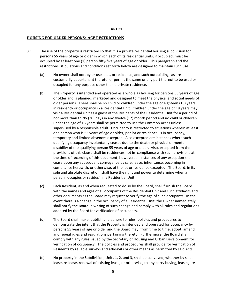#### **ARTICLE III**

#### **HOUSING FOR OLDER PERSONS: AGE RESTRICTIONS**

- 3.1 The use of the property is restricted so that it is a private residential housing subdivision for persons 55 years of age or older in which each of its residential units, if occupied, must be occupied by at least one  $(1)$  person fifty-five years of age or older. This paragraph and the restrictions, stipulations and conditions set forth below are designed to maintain such use.
	- (a) No owner shall occupy or use a lot, or residence, and such outbuildings as are customarily appurtenant thereto, or permit the same or any part thereof to be used or occupied for any purpose other than a private residence.
	- (b) The Property is intended and operated as a whole as housing for persons 55 years of age or older and is planned, marketed and designed to meet the physical and social needs of older persons. There shall be no child or children under the age of eighteen (18) years in residency or occupancy in a Residential Unit. Children under the age of 18 years may visit a Residential Unit as a guest of the Residents of the Residential Unit for a period of not more than thirty (30) days in any twelve (12) month period and no child or children under the age of 18 years shall be permitted to use the Common Areas unless supervised by a responsible adult. Occupancy is restricted to situations wherein at least one person who is 55 years of age or older, per lot or residence, is in occupancy, temporary and limited absences excepted. Also excepted are instances where such qualifying occupancy involuntarily ceases due to the death or physical or mental disability of the qualifying person 55 years of age or older. Also, excepted from the provisions of this clause shall be residences not in compliance with such provisions at the time of recording of this document, however, all instances of any exception shall cease upon any subsequent conveyance by sale, lease, inheritance, becoming in compliance herewith, or otherwise, of the lot or residence excepted. The Board, in its sole and absolute discretion, shall have the right and power to determine when a person "occupies or resides" in a Residential Unit.
	- (c) Each Resident, as and when requested to do so by the Board, shall furnish the Board with the names and ages of all occupants of the Residential Unit and such affidavits and other documents as the Board may request to verify the age of such occupants. In the event there is a change in the occupancy of a Residential Unit, the Owner immediately shall notify the Board in writing of such change and comply with all rules and regulations adopted by the Board for verification of occupancy.
	- (d) The Board shall make, publish and adhere to rules, policies and procedures to demonstrate the intent that the Property is intended and operated for occupancy by persons 55 years of age or older and the Board may, from time to time, adopt, amend and repeal rules and regulations pertaining thereto. Furthermore, the Board shall comply with any rules issued by the Secretary of Housing and Urban Development for verification of occupancy. The policies and procedures shall provide for verification of Residents by reliable surveys and affidavits or other means as permitted by said Acts.
	- (e) No property in the Subdivision, Units 1, 2, and 3, shall be conveyed, whether by sale, lease, re-lease, renewal of existing lease, or otherwise, to any party buying, leasing, re-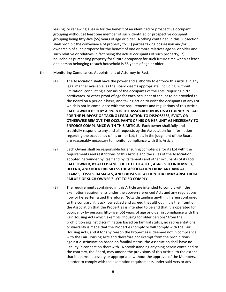leasing, or renewing a lease for the benefit of an identified or prospective occupant grouping without at least one member of such identified or prospective occupant grouping being fifty-five (55) years of age or older. Nothing contained in this Subsection shall prohibit the conveyance of property to:  $1$ ) parties taking possession and/or ownership of such property for the benefit of one or more relatives age 55 or older and such relative or relatives in fact being the actual occupants of such property; 2) households purchasing property for future occupancy for such future time when at least one person belonging to such household is 55 years of age or older.

- (f) Monitoring Compliance; Appointment of Attorney-in-Fact.
	- (1) The Association shall have the power and authority to enforce this Article in any legal manner available, as the Board deems appropriate, including, without limitation, conducting a census of the occupants of the Lots, requiring birth certificates, or other proof of age for each occupant of the lot to be provided to the Board on a periodic basis, and taking action to evict the occupants of any Lot which is not in compliance with the requirements and regulations of this Article. **EACH OWNER HEREBY APPOINTS THE ASSOCIATION AS ITS ATTORNEY-IN-FACT** FOR THE PURPOSE OF TAKING LEGAL ACTION TO DISPOSSESS, EVICT, OR **OTHERWISE REMOVE THE OCCUPANTS OF HIS OR HER UNIT AS NECESSARY TO ENFORCE COMPLIANCE WITH THIS ARTICLE.** Each owner shall fully and truthfully respond to any and all requests by the Association for information regarding the occupancy of his or her Lot, that, in the judgment of the Board, are reasonably necessary to monitor compliance with this Article.
	- (2) Each Owner shall be responsible for ensuring compliance for its Lot with the requirements and restrictions of this Article and the rules of the Association adopted hereunder by itself and by its tenants and other occupants of its Lots. **EACH OWNER, BY ACCEPTANCE OF TITLE TO A LOT, AGREES TO INDEMNIFY, DEFEND, AND HOLD HARMLESS THE ASSOCIATION FROM ANY AND ALL CLAIMS, LOSSES, DAMAGES, AND CAUSES OF ACTION THAT MAY ARISE FROM FAILURE OF SUCH OWNER'S LOT TO SO COMPLY.**
	- (3) The requirements contained in this Article are intended to comply with the exemption requirements under the above-referenced Acts and any regulations now or hereafter issued therefore. Notwithstanding anything herein contained to the contrary, it is acknowledged and agreed that although it is the intent of the Association that the Properties is intended to be and that it is operated for occupancy by persons fifty-five (55) years of age or older in compliance with the Fair Housing Acts which exempts "housing for older persons" from the prohibition against discrimination based on familial status, no representations or warranty is made that the Properties comply or will comply with the Fair Housing Acts, and if for any reason the Properties is deemed not in compliance with the Fair Housing Acts and therefore not exempt from the prohibitions against discrimination based on familial status, the Association shall have no liability in connection therewith. Notwithstanding anything herein contained to the contrary, the Board, may amend the provisions of this Article, to the extent that it deems necessary or appropriate, without the approval of the Members, in order to comply with the exemption requirements under said Acts or any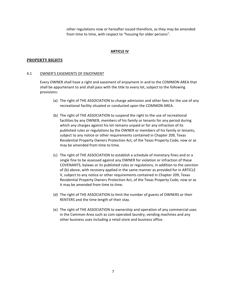other regulations now or hereafter issued therefore, as they may be amended from time to time, with respect to "housing for older persons".

#### **ARTICLE IV**

#### **PROPERTY RIGHTS**

#### 4.1 OWNER'S EASEMENTS OF ENJOYMENT

Every OWNER shall have a right and easement of enjoyment in and to the COMMON AREA that shall be appurtenant to and shall pass with the title to every lot, subject to the following provisions:

- (a) The right of THE ASSOCIATION to charge admission and other fees for the use of any recreational facility situated or conducted upon the COMMON AREA.
- (b) The right of THE ASSOCIATION to suspend the right to the use of recreational facilities by any OWNER, members of his family or tenants for any period during which any charges against his lot remains unpaid or for any infraction of its published rules or regulations by the OWNER or members of his family or tenants, subject to any notice or other requirements contained in Chapter 209, Texas Residential Property Owners Protection Act, of the Texas Property Code, now or as may be amended from time to time.
- (c) The right of THE ASSOCIATION to establish a schedule of monetary fines and or a single fine to be assessed against any OWNER for violation or infraction of these COVENANTS, bylaws or its published rules or regulations, in addition to the sanction of (b) above, with recovery applied in the same manner as provided for in ARTICLE V, subject to any notice or other requirements contained in Chapter 209, Texas Residential Property Owners Protection Act, of the Texas Property Code, now or as it may be amended from time to time.
- (d) The right of THE ASSOCIATION to limit the number of guests of OWNERS or their RENTERS and the time length of their stay.
- (e) The right of THE ASSOCIATION to ownership and operation of any commercial uses in the Common Area such as coin-operated laundry, vending machines and any other business uses including a retail store and business office.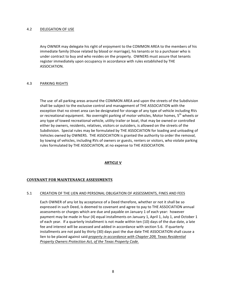## 4.2 DELEGATION OF USE

Any OWNER may delegate his right of enjoyment to the COMMON AREA to the members of his immediate family (those related by blood or marriage), his tenants or to a purchaser who is under contract to buy and who resides on the property. OWNERS must assure that tenants register immediately upon occupancy in accordance with rules established by THE ASSOCIATION.

# 4.3 PARKING RIGHTS

The use of all parking areas around the COMMON AREA and upon the streets of the Subdivision shall be subject to the exclusive control and management of THE ASSOCIATION with the exception that no street area can be designated for storage of any type of vehicle including RVs or recreational equipment. No overnight parking of motor vehicles, Motor homes, 5<sup>th</sup> wheels or any type of towed recreational vehicle, utility trailer or boat, that may be owned or controlled either by owners, residents, relatives, visitors or outsiders, is allowed on the streets of the Subdivision. Special rules may be formulated by THE ASSOCIATION for loading and unloading of Vehicles owned by OWNERS. THE ASSOCIATION is granted the authority to order the removal, by towing of vehicles, including RVs of owners or guests, renters or visitors, who violate parking rules formulated by THE ASSOCIATION, at no expense to THE ASSOCIATION.

# **ARTICLE V**

# **COVENANT FOR MAINTENANCE ASSESSMENTS**

# 5.1 CREATION OF THE LIEN AND PERSONAL OBLIGATION OF ASSESSMENTS, FINES AND FEES

Each OWNER of any lot by acceptance of a Deed therefore, whether or not it shall be so expressed in such Deed, is deemed to covenant and agree to pay to THE ASSOCIATION annual assessments or charges which are due and payable on January 1 of each year: however payment may be made in four (4) equal installments on January 1, April 1, July 1, and October 1 of each year. If a quarterly installment is not made within ten (10) days of the due date, a late fee and interest will be assessed and added in accordance with section 5.6. If quarterly installments are not paid by thirty (30) days past the due date THE ASSOCIATION shall cause a lien to be placed against said *property in accordance with Chapter 209, Texas Residential Property Owners Protection Act, of the Texas Property Code.*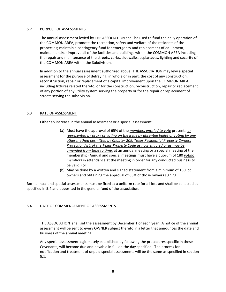## 5.2 PURPOSE OF ASSESSMENTS

The annual assessment levied by THE ASSOCIATION shall be used to fund the daily operation of the COMMON AREA, promote the recreation, safety and welfare of the residents of the properties; maintain a contingency fund for emergency and replacement of equipment; maintain and/or improve all of the facilities and buildings within the COMMON AREA including the repair and maintenance of the streets, curbs, sidewalks, esplanades, lighting and security of the COMMON AREA within the Subdivision.

In addition to the annual assessment authorized above, THE ASSOCIATION may levy a special assessment for the purpose of defraying, in whole or in part, the cost of any construction, reconstruction, repair or replacement of a capital improvement upon the COMMON AREA, including fixtures related thereto, or for the construction, reconstruction, repair or replacement of any portion of any utility system serving the property or for the repair or replacement of streets serving the subdivision.

# 5.3 RATE OF ASSESSMENT

Either an increase in the annual assessment or a special assessment;

- (a) Must have the approval of 65% of the *members entitled to vote* present, or *represented by proxy or voting on the issue by absentee ballot or voting by any* other method permitted by Chapter 209, Texas Residential Property Owners **Protection Act, of the Texas Property Code as now enacted or as may be** amended from time to time, at an annual meeting or a special meeting of the membership (Annual and special meetings must have a quorum of 180 *voting members* in attendance at the meeting in order for any conducted business to be valid.) or
- (b) May be done by a written and signed statement from a minimum of 180 lot owners and obtaining the approval of 65% of those owners signing.

Both annual and special assessments must be fixed at a uniform rate for all lots and shall be collected as specified in 5.4 and deposited in the general fund of the association.

# 5.4 DATE OF COMMENCEMENT OF ASSESSMENTS

THE ASSOCIATION shall set the assessment by December 1 of each year. A notice of the annual assessment will be sent to every OWNER subject thereto in a letter that announces the date and business of the annual meeting.

Any special assessment legitimately established by following the procedures specific in these Covenants, will become due and payable in full on the day specified. The process for notification and treatment of unpaid special assessments will be the same as specified in section 5.1.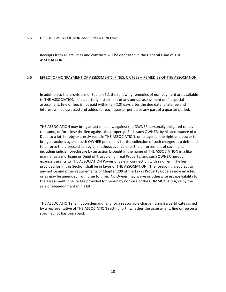#### 5.5 DISBURSEMENT OF NON ASSESSMENT INCOME

Receipts from all activities and contracts will be deposited in the General Fund of THE ASSOCIATION.

#### 5.6 EFFECT OF NONPAYMENT OF ASSESSMENTS, FINES, OR FEES - REMEDIES OF THE ASSOCIATION

In addition to the provisions of Section 5.1 the following remedies of non-payment are available to THE ASSOCIATION. If a quarterly installment of any annual assessment or if a special assessment, fine or fee, is not paid within ten (10) days after the due date, a late fee and interest will be assessed and added for each quarter period or any part of a quarter period.

THE ASSOCIATION may bring an action at law against the OWNER personally obligated to pay the same, or foreclose the lien against the property. Each such OWNER, by his acceptance of a Deed to a lot, hereby expressly vests in THE ASSOCIATION, or its agents, the right and power to bring all actions against such OWNER personally for the collection of such charges as a debt and to enforce the aforesaid lien by all methods available for the enforcement of such liens, including judicial foreclosure by an action brought in the name of THE ASSOCIATION in a like manner as a mortgage or Deed of Trust Lien on real Property, and such OWNER hereby expressly grants to THE ASSOCIATION Power of Sale in connection with said lien. The lien provided for in this Section shall be in favor of THE ASSOCIATION. The foregoing is subject to any notice and other requirements of Chapter 209 of the Texas Property Code as now enacted or as may be amended from time to time. No Owner may waive or otherwise escape liability for the assessment, fine, or fee provided for herein by non-use of the COMMON AREA, or by the sale or abandonment of his lot.

THE ASSOCIATION shall, upon demand, and for a reasonable charge, furnish a certificate signed by a representative of THE ASSOCIATION setting forth whether the assessment, fine or fee on a specified lot has been paid.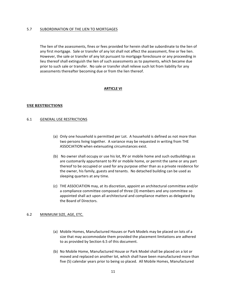## 5.7 SUBORDINATION OF THE LIEN TO MORTGAGES

The lien of the assessments, fines or fees provided for herein shall be subordinate to the lien of any first mortgage. Sale or transfer of any lot shall not affect the assessment, fine or fee lien. However, the sale or transfer of any lot pursuant to mortgage foreclosure or any proceeding in lieu thereof shall extinguish the lien of such assessments as to payments, which became due prior to such sale or transfer. No sale or transfer shall relieve such lot from liability for any assessments thereafter becoming due or from the lien thereof.

## **ARTICLE VI**

# **USE RESTRICTIONS**

## 6.1 GENERAL USE RESTRICTIONS

- (a) Only one household is permitted per Lot. A household is defined as not more than two persons living together. A variance may be requested in writing from THE ASSOCIATION when extenuating circumstances exist.
- (b) No owner shall occupy or use his lot, RV or mobile home and such outbuildings as are customarily appurtenant to RV or mobile home, or permit the same or any part thereof to be occupied or used for any purpose other than as a private residence for the owner, his family, guests and tenants. No detached building can be used as sleeping quarters at any time.
- (c) THE ASSOCIATION may, at its discretion, appoint an architectural committee and/or a compliance committee composed of three (3) members and any committee so appointed shall act upon all architectural and compliance matters as delegated by the Board of Directors.

#### 6.2 MINIMUM SIZE, AGE, ETC.

- (a) Mobile Homes, Manufactured Houses or Park Models may be placed on lots of a size that may accommodate them provided the placement limitations are adhered to as provided by Section 6.5 of this document.
- (b) No Mobile Home, Manufactured House or Park Model shall be placed on a lot or moved and replaced on another lot, which shall have been manufactured more than five (5) calendar years prior to being so placed. All Mobile Homes, Manufactured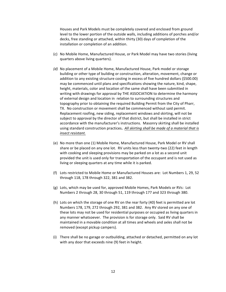Houses and Park Models must be completely covered and enclosed from ground level to the lower portion of the outside walls, including additions of porches and/or decks, free standing or attached, within thirty (30) days of completion of the installation or completion of an addition.

- (c) No Mobile Home, Manufactured House, or Park Model may have two stories (living quarters above living quarters).
- *(d)* No placement of a Mobile Home, Manufactured House, Park model or storage building or other type of building or construction, alteration, movement, change or addition to any existing structure costing in excess of five hundred dollars (\$500.00) may be commenced until plans and specifications showing the nature, kind, shape, height, materials, color and location of the same shall have been submitted in writing with drawings for approval by THE ASSOCIATION to determine the harmony of external design and location in relation to surrounding structures and topography prior to obtaining the required Building Permit from the City of Pharr, TX. No construction or movement shall be commenced without said permit. Replacement roofing, new siding, replacement windows and skirting, will not be subject to approval by the director of that district, but shall be installed in strict accordance with the manufacturer's instructions. Masonry skirting shall be installed using standard construction practices. All skirting shall be made of a material that is *insect resistant.*
- (e) No more than one (1) Mobile Home, Manufactured House, Park Model or RV shall share or be placed on any one lot. RV units less than twenty-two (22) feet in length with cooking and sleeping provisions may be parked on a lot as a second unit provided the unit is used only for transportation of the occupant and is not used as living or sleeping quarters at any time while it is parked.
- (f) Lots restricted to Mobile Home or Manufactured Houses are: Lot Numbers 1, 29, 52 through 118, 178 through 322, 381 and 382.
- $(g)$  Lots, which may be used for, approved Mobile Homes, Park Models or RVs: Lot Numbers 2 through 28, 30 through 51, 119 through 177 and 323 through 380.
- (h) Lots on which the storage of one RV on the rear forty (40) feet is permitted are lot Numbers 178, 179, 272 through 292, 381 and 382. Any RV stored on any one of these lots may not be used for residential purposes or occupied as living quarters in any manner whatsoever. The provision is for storage only. Said RV shall be maintained in a movable condition at all times and wheels and axles shall not be removed (except pickup campers).
- (i) There shall be no garage or outbuilding, attached or detached, permitted on any lot with any door that exceeds nine (9) feet in height.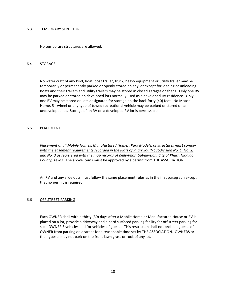## 6.3 TEMPORARY STRUCTURES

No temporary structures are allowed.

## 6.4 STORAGE

No water craft of any kind, boat, boat trailer, truck, heavy equipment or utility trailer may be temporarily or permanently parked or openly stored on any lot except for loading or unloading. Boats and their trailers and utility trailers may be stored in closed garages or sheds. Only one RV may be parked or stored on developed lots normally used as a developed RV residence. Only one RV may be stored on lots designated for storage on the back forty (40) feet. No Motor Home,  $5<sup>th</sup>$  wheel or any type of towed recreational vehicle may be parked or stored on an undeveloped lot. Storage of an RV on a developed RV lot is permissible.

# 6.5 PLACEMENT

*Placement of all Mobile Homes, Manufactured Homes, Park Models, or structures must comply* with the easement requirements recorded in the Plats of Pharr South Subdivision No. 1, No. 2, and No. 3 as registered with the map records of Kelly-Pharr Subdivision, City of Pharr, Hidalgo *County, Texas.* The above items must be approved by a permit from THE ASSOCIATION.

An RV and any slide outs must follow the same placement rules as in the first paragraph except that no permit is required.

#### 6.6 OFF STREET PARKING

Each OWNER shall within thirty (30) days after a Mobile Home or Manufactured House or RV is placed on a lot, provide a driveway and a hard surfaced parking facility for off street parking for such OWNER'S vehicles and for vehicles of guests. This restriction shall not prohibit guests of OWNER from parking on a street for a reasonable time set by THE ASSOCIATION. OWNERS or their guests may not park on the front lawn grass or rock of any lot.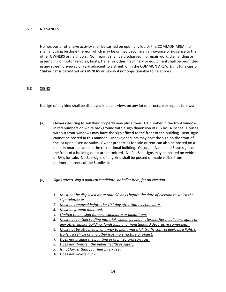# 6.7 NUISANCES

No noxious or offensive activity shall be carried on upon any lot, or the COMMON AREA, nor shall anything be done thereon which may be or may become an annoyance or nuisance to the other OWNERS or neighbors. No firearms shall be discharged, no repair work; dismantling or assembling of motor vehicles, boats, trailer or other machinery or equipment shall be permitted in any street, driveway or yard adjacent to a street, or in the COMMON AREA. Light tune-ups or "tinkering" is permitted on OWNERS driveway if not objectionable to neighbors.

## 6.8 SIGNS

No sign of any kind shall be displayed in public view, on any lot or structure except as follows:

(a) Owners desiring to sell their property may place their LOT number in the front window in red numbers on white background with a sign dimension of  $8\frac{1}{2}$  by 14 inches. Houses without front windows may have the sign affixed to the front of the building. Rent signs cannot be posted in this manner. Undeveloped lots may post the sign on the front of the lot upon a secure stake. Owner properties for sale or rent can also be posted on a bulletin board located in the recreational building. Occupant Name and State signs on the front of a building or lot are permitted. No For Sale signs may be posted on vehicles or RV's for sale. No Sale signs of any kind shall be posted or made visible from perimeter streets of the Subdivision.

# *(b) Signs advertising a political candidate, or ballot item, for an election.*

- 1. Must not be displayed more than 90 days before the date of election to which the *sign relates: or*
- 2. Must be removed before the 10<sup>th</sup> day after that election date.
- *3. Must be ground mounted.*
- *4. Limited to one sign for each candidate or ballot item.*
- 5. Must not contain roofing material, siding, paving materials, flora, balloons, lights or any other similar building, landscaping, or nonstandard decorative component.
- 6. Must not be attached in any way to plant material, traffic control devices, a light, a *trailer, a vehicle or any other existing structure or object.*
- *7.* Does not include the painting of architectural surfaces.
- *8. Does not threaten the public health or safety.*
- 9. Is not larger than four feet by six feet.
- 10. Does not violate a law.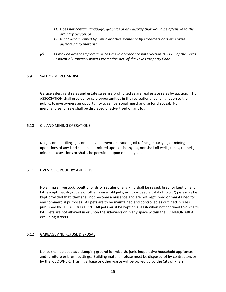- 11. Does not contain language, graphics or any display that would be offensive to the *ordinary person, or*
- 12. *Is not accompanied by music or other sounds or by streamers or is otherwise* distracting to motorist.
- *(c)* As may be amended from time to time in accordance with Section 202.009 of the Texas *Residential Property Owners Protection Act, of the Texas Property Code.*

## 6.9 SALE OF MERCHANDISE

Garage sales, yard sales and estate sales are prohibited as are real estate sales by auction. THE ASSOCIATION shall provide for sale opportunities in the recreational building, open to the public, to give owners an opportunity to sell personal merchandise for disposal. No merchandise for sale shall be displayed or advertised on any lot.

## 6.10 OIL AND MINING OPERATIONS

No gas or oil drilling, gas or oil development operations, oil refining, quarrying or mining operations of any kind shall be permitted upon or in any lot, nor shall oil wells, tanks, tunnels, mineral excavations or shafts be permitted upon or in any lot.

# 6.11 LIVESTOCK, POULTRY AND PETS

No animals, livestock, poultry, birds or reptiles of any kind shall be raised, bred, or kept on any lot, except that dogs, cats or other household pets, not to exceed a total of two (2) pets may be kept provided that they shall not become a nuisance and are not kept, bred or maintained for any commercial purposes. All pets are to be maintained and controlled as outlined in rules published by THE ASSOCIATION. All pets must be kept on a leash when not confined to owner's lot. Pets are not allowed in or upon the sidewalks or in any space within the COMMON AREA, excluding streets.

# 6.12 GARBAGE AND REFUSE DISPOSAL

No lot shall be used as a dumping ground for rubbish, junk, inoperative household appliances, and furniture or brush cuttings. Building material refuse must be disposed of by contractors or by the lot OWNER. Trash, garbage or other waste will be picked up by the City of Pharr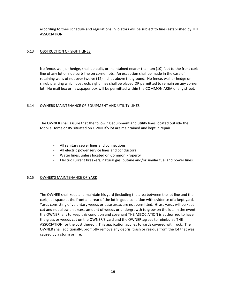according to their schedule and regulations. Violators will be subject to fines established by THE ASSOCIATION.

# 6.13 OBSTRUCTION OF SIGHT LINES

No fence, wall, or hedge, shall be built, or maintained nearer than ten (10) feet to the front curb line of any lot or side curb line on corner lots. An exception shall be made in the case of retaining walls of not over twelve (12) inches above the ground. No fence, wall or hedge or shrub planting which obstructs sight lines shall be placed OR permitted to remain on any corner lot. No mail box or newspaper box will be permitted within the COMMON AREA of any street.

## 6.14 OWNERS MAINTENANCE OF EQUIPMENT AND UTILITY LINES

The OWNER shall assure that the following equipment and utility lines located outside the Mobile Home or RV situated on OWNER'S lot are maintained and kept in repair:

- All sanitary sewer lines and connections
- All electric power service lines and conductors
- Water lines, unless located on Common Property
- Electric current breakers, natural gas, butane and/or similar fuel and power lines.

#### 6.15 OWNER'S MAINTENANCE OF YARD

The OWNER shall keep and maintain his yard (including the area between the lot line and the curb), all space at the front and rear of the lot in good condition with evidence of a kept yard. Yards consisting of voluntary weeds or base areas are not permitted. Grass yards will be kept cut and not allow an excess amount of weeds or undergrowth to grow on the lot. In the event the OWNER fails to keep this condition and covenant THE ASSOCIATION is authorized to have the grass or weeds cut on the OWNER'S yard and the OWNER agrees to reimburse THE ASSOCIATION for the cost thereof. This application applies to yards covered with rock. The OWNER shall additionally, promptly remove any debris, trash or residue from the lot that was caused by a storm or fire.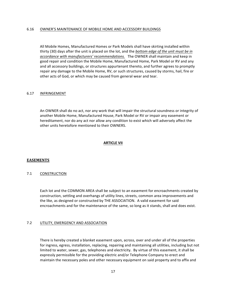#### 6.16 OWNER'S MAINTENANCE OF MOBILE HOME AND ACCESSORY BUILDINGS

All Mobile Homes, Manufactured Homes or Park Models shall have skirting installed within thirty (30) days after the unit is placed on the lot, and the *bottom edge of the unit must be in accordance with manufacturers' recommendations.* The OWNER shall maintain and keep in good repair and condition the Mobile Home, Manufactured Home, Park Model or RV and any and all accessory buildings, or structures appurtenant thereto, and further agrees to promptly repair any damage to the Mobile Home, RV, or such structures, caused by storms, hail, fire or other acts of God, or which may be caused from general wear and tear.

#### 6.17 INFRINGEMENT

An OWNER shall do no act, nor any work that will impair the structural soundness or integrity of another Mobile Home, Manufactured House, Park Model or RV or impair any easement or hereditament, nor do any act nor allow any condition to exist which will adversely affect the other units heretofore mentioned to their OWNERS.

#### **ARTICLE VII**

#### **EASEMENTS**

#### 7.1 CONSTRUCTION

Each lot and the COMMON AREA shall be subject to an easement for encroachments created by construction, settling and overhangs of utility lines, streets, common area improvements and the like, as designed or constructed by THE ASSOCIATION. A valid easement for said encroachments and for the maintenance of the same, so long as it stands, shall and does exist.

#### 7.2 UTILITY, EMERGENCY AND ASSOCIATION

There is hereby created a blanket easement upon, across, over and under all of the properties for ingress, egress, installation, replacing, repairing and maintaining all utilities, including but not limited to water, sewer, gas, telephones and electricity. By virtue of this easement, it shall be expressly permissible for the providing electric and/or Telephone Company to erect and maintain the necessary poles and other necessary equipment on said property and to affix and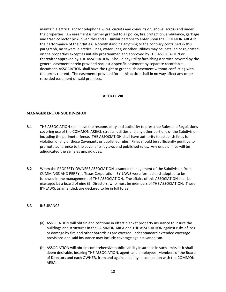maintain electrical and/or telephone wires, circuits and conduits on, above, across and under the properties. An easement is further granted to all police, fire protection, ambulance, garbage and trash collector pickup vehicles and all similar persons to enter upon the COMMON AREA in the performance of their duties. Notwithstanding anything to the contrary contained in this paragraph, no sewers, electrical lines, water lines, or other utilities may be installed or relocated on the properties except as initially programmed and approved by THE ASSOCIATION or thereafter approved by THE ASSOCIATION. Should any utility furnishing a service covered by the general easement herein provided request a specific easement by separate recordable document, ASSOCIATION shall have the right to grant such easement without conflicting with the terms thereof. The easements provided for in this article shall in no way affect any other recorded easement on said premises.

# **ARTICLE VIII**

# **MANAGEMENT OF SUBDIVISION**

- 8.1 THE ASSOCIATION shall have the responsibility and authority to prescribe Rules and Regulations covering use of the COMMON AREAS, streets, utilities and any other portions of the Subdivision including the perimeter fence. THE ASSOCIATION shall have authority to establish fines for violation of any of these Covenants or published rules. Fines should be sufficiently punitive to promote adherence to the covenants, bylaws and published rules. Any unpaid fines will be adjudicated the same as unpaid dues.
- 8.2 When the PROPERTY OWNERS ASSOCIATION assumed management of the Subdivision from CUMMINGS AND PERRY, a Texas Corporation, BY-LAWS were formed and adopted to be followed in the management of THE ASSOCIATION. The affairs of this ASSOCIATION shall be managed by a board of nine (9) Directors, who must be members of THE ASSOCIATION. These BY-LAWS, as amended, are declared to be in full force.

## 8.3 INSURANCE

- (a) ASSOCIATION will obtain and continue in effect blanket property insurance to insure the buildings and structures in the COMMON AREA and THE ASSOCIATION against risks of loss or damage by fire and other hazards as are covered under standard extended coverage provisions and said insurance may include coverage against vandalism.
- (b) ASSOCIATION will obtain comprehensive public liability insurance in such limits as it shall deem desirable, insuring THE ASSOCIATION, agent, and employees, Members of the Board of Directors and each OWNER, from and against liability in connection with the COMMON AREA.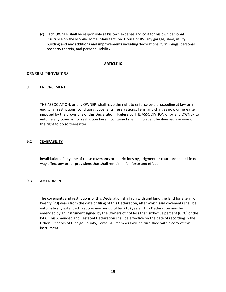(c) Each OWNER shall be responsible at his own expense and cost for his own personal insurance on the Mobile Home, Manufactured House or RV, any garage, shed, utility building and any additions and improvements including decorations, furnishings, personal property therein, and personal liability.

#### **ARTICLE IX**

## **GENERAL PROVISIONS**

## 9.1 ENFORCEMENT

THE ASSOCIATION, or any OWNER, shall have the right to enforce by a proceeding at law or in equity, all restrictions, conditions, covenants, reservations, liens, and charges now or hereafter imposed by the provisions of this Declaration. Failure by THE ASSOCIATION or by any OWNER to enforce any covenant or restriction herein contained shall in no event be deemed a waiver of the right to do so thereafter.

## 9.2 SEVERABILITY

Invalidation of any one of these covenants or restrictions by judgment or court order shall in no way affect any other provisions that shall remain in full force and effect.

#### 9.3 AMENDMENT

The covenants and restrictions of this Declaration shall run with and bind the land for a term of twenty (20) years from the date of filing of this Declaration, after which said covenants shall be automatically extended in successive period of ten (10) years. This Declaration may be amended by an instrument signed by the Owners of not less than sixty-five percent (65%) of the lots. This Amended and Restated Declaration shall be effective on the date of recording in the Official Records of Hidalgo County, Texas. All members will be furnished with a copy of this instrument.